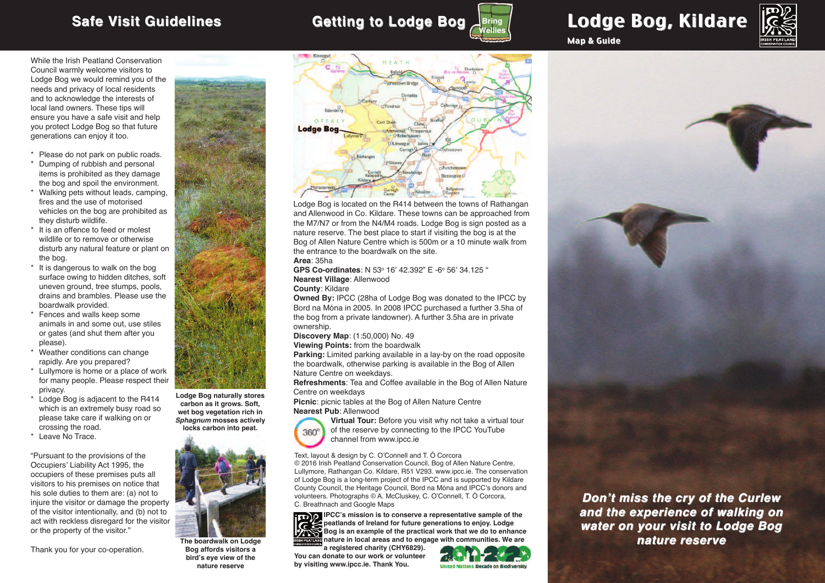### **Safe Visit Guidelines Getting to Lodge Bog** Lodge Bog, Kildare **Bring Wellies**

Map & Guide



While the Irish Peatland Conservation Council warmly welcome visitors to Lodge Bog we would remind you of the needs and privacy of local residents and to acknowledge the interests of local land owners. These tips will ensure you have a safe visit and help you protect Lodge Bog so that future generations can enjoy it too.

- \* Please do not park on public roads.
- \* Dumping of rubbish and personal items is prohibited as they damage the bog and spoil the environment.
- \* Walking pets without leads, camping, fires and the use of motorised vehicles on the bog are prohibited as they disturb wildlife.
- \* It is an offence to feed or molest wildlife or to remove or otherwise disturb any natural feature or plant on the bog.
- \* It is dangerous to walk on the bog surface owing to hidden ditches, soft uneven ground, tree stumps, pools, drains and brambles. Please use the boardwalk provided.
- \* Fences and walls keep some animals in and some out, use stiles or gates (and shut them after you please).
- \* Weather conditions can change rapidly. Are you prepared?
- \* Lullymore is home or a place of work for many people. Please respect their privacy.
- \* Lodge Bog is adjacent to the R414 which is an extremely busy road so please take care if walking on or crossing the road.
- \* Leave No Trace.

"Pursuant to the provisions of the Occupiers' Liability Act 1995, the occupiers of these premises puts all visitors to his premises on notice that his sole duties to them are: (a) not to injure the visitor or damage the property of the visitor intentionally, and (b) not to act with reckless disregard for the visitor or the property of the visitor."

Thank you for your co-operation.







**The boardwalk on Lodge Bog affords visitors a bird's eye view of the nature reserve**



Lodge Bog is located on the R414 between the towns of Rathangan and Allenwood in Co. Kildare. These towns can be approached from the M7/N7 or from the N4/M4 roads. Lodge Bog is sign posted as a nature reserve. The best place to start if visiting the bog is at the Bog of Allen Nature Centre which is 500m or a 10 minute walk from the entrance to the boardwalk on the site.

### **Area**: 35ha

**GPS Co-ordinates**: N 53o 16' 42.392" E -6o 56' 34.125 " **Nearest Village**: Allenwood

**County**: Kildare

**Owned By:** IPCC (28ha of Lodge Bog was donated to the IPCC by Bord na Móna in 2005. In 2008 IPCC purchased a further 3.5ha of the bog from a private landowner). A further 3.5ha are in private ownership.

**Discovery Map**: (1:50,000) No. 49

**Viewing Points:** from the boardwalk

**Parking:** Limited parking available in a lay-by on the road opposite the boardwalk, otherwise parking is available in the Bog of Allen Nature Centre on weekdays.

**Refreshments**: Tea and Coffee available in the Bog of Allen Nature Centre on weekdays

**Picnic**: picnic tables at the Bog of Allen Nature Centre **Nearest Pub**: Allenwood



**Virtual Tour:** Before you visit why not take a virtual tour of the reserve by connecting to the IPCC YouTube channel from www.ipcc.ie

Text, layout & design by C. O'Connell and T. Ó Corcora © 2016 Irish Peatland Conservation Council, Bog of Allen Nature Centre, Lullymore, Rathangan Co. Kildare, R51 V293. www.ipcc.ie. The conservation of Lodge Bog is a long-term project of the IPCC and is supported by Kildare County Council, the Heritage Council, Bord na Móna and IPCC's donors and volunteers. Photographs © A. McCluskey, C. O'Connell, T. Ó Corcora, C. Breathnach and Google Maps

**IPCC's mission is to conserve a representative sample of the peatlands of Ireland for future generations to enjoy. Lodge Bog is an example of the practical work that we do to enhance nature in local areas and to engage with communities. We are**

**a registered charity (CHY6829). You can donate to our work or volunteer by visiting www.ipcc.ie. Thank You.**